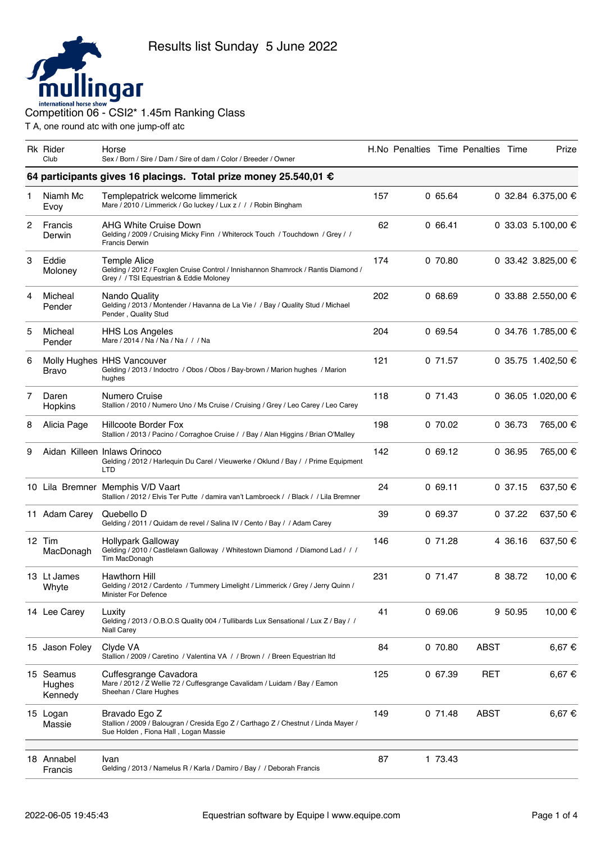

|   | <b>Rk Rider</b><br>Club        | Horse<br>Sex / Born / Sire / Dam / Sire of dam / Color / Breeder / Owner                                                                     |     | H.No Penalties Time Penalties Time |         |             |         | Prize              |
|---|--------------------------------|----------------------------------------------------------------------------------------------------------------------------------------------|-----|------------------------------------|---------|-------------|---------|--------------------|
|   |                                | 64 participants gives 16 placings. Total prize money 25.540,01 €                                                                             |     |                                    |         |             |         |                    |
| 1 | Niamh Mc<br>Evoy               | Templepatrick welcome limmerick<br>Mare / 2010 / Limmerick / Go luckey / Lux z / / / Robin Bingham                                           | 157 |                                    | 0 65.64 |             |         | 0 32.84 6.375,00 € |
| 2 | Francis<br>Derwin              | AHG White Cruise Down<br>Gelding / 2009 / Cruising Micky Finn / Whiterock Touch / Touchdown / Grey / /<br><b>Francis Derwin</b>              | 62  |                                    | 066.41  |             |         | 0 33.03 5.100,00 € |
| 3 | Eddie<br>Moloney               | Temple Alice<br>Gelding / 2012 / Foxglen Cruise Control / Innishannon Shamrock / Rantis Diamond /<br>Grey / / TSI Equestrian & Eddie Moloney | 174 |                                    | 0 70.80 |             |         | 0 33.42 3.825,00 € |
| 4 | Micheal<br>Pender              | Nando Quality<br>Gelding / 2013 / Montender / Havanna de La Vie / / Bay / Quality Stud / Michael<br>Pender, Quality Stud                     | 202 |                                    | 068.69  |             |         | 0 33.88 2.550,00 € |
| 5 | Micheal<br>Pender              | <b>HHS Los Angeles</b><br>Mare / 2014 / Na / Na / Na / / / Na                                                                                | 204 |                                    | 0 69.54 |             |         | 0 34.76 1.785,00 € |
| 6 | Bravo                          | Molly Hughes HHS Vancouver<br>Gelding / 2013 / Indoctro / Obos / Obos / Bay-brown / Marion hughes / Marion<br>hughes                         | 121 |                                    | 0 71.57 |             |         | 0 35.75 1.402,50 € |
| 7 | Daren<br>Hopkins               | Numero Cruise<br>Stallion / 2010 / Numero Uno / Ms Cruise / Cruising / Grey / Leo Carey / Leo Carey                                          | 118 |                                    | 071.43  |             |         | 0 36.05 1.020,00 € |
| 8 | Alicia Page                    | Hillcoote Border Fox<br>Stallion / 2013 / Pacino / Corraghoe Cruise / / Bay / Alan Higgins / Brian O'Malley                                  | 198 |                                    | 0 70.02 |             | 0 36.73 | 765,00 €           |
| 9 |                                | Aidan Killeen Inlaws Orinoco<br>Gelding / 2012 / Harlequin Du Carel / Vieuwerke / Oklund / Bay / / Prime Equipment<br><b>LTD</b>             | 142 |                                    | 069.12  |             | 0 36.95 | 765,00 €           |
|   |                                | 10 Lila Bremner Memphis V/D Vaart<br>Stallion / 2012 / Elvis Ter Putte / damira van't Lambroeck / / Black / / Lila Bremner                   | 24  |                                    | 069.11  |             | 0.37.15 | 637,50 €           |
|   | 11 Adam Carey                  | Quebello D<br>Gelding / 2011 / Quidam de revel / Salina IV / Cento / Bay / / Adam Carey                                                      | 39  |                                    | 0 69.37 |             | 0.37.22 | 637,50 €           |
|   | 12 Tim<br>MacDonagh            | <b>Hollypark Galloway</b><br>Gelding / 2010 / Castlelawn Galloway / Whitestown Diamond / Diamond Lad / / /<br>Tim MacDonagh                  | 146 |                                    | 071.28  |             | 4 36.16 | 637,50 €           |
|   | 13 Lt James<br>Whyte           | <b>Hawthorn Hill</b><br>Gelding / 2012 / Cardento / Tummery Limelight / Limmerick / Grey / Jerry Quinn /<br>Minister For Defence             | 231 |                                    | 0 71.47 |             | 8 38.72 | 10,00 €            |
|   | 14 Lee Carey                   | Luxity<br>Gelding / 2013 / O.B.O.S Quality 004 / Tullibards Lux Sensational / Lux Z / Bay / /<br><b>Niall Carey</b>                          | 41  |                                    | 069.06  |             | 9 50.95 | 10,00 €            |
|   | 15 Jason Foley                 | Clyde VA<br>Stallion / 2009 / Caretino / Valentina VA / / Brown / / Breen Equestrian Itd                                                     | 84  |                                    | 0 70.80 | <b>ABST</b> |         | 6,67 €             |
|   | 15 Seamus<br>Hughes<br>Kennedy | Cuffesgrange Cavadora<br>Mare / 2012 / Z Wellie 72 / Cuffesgrange Cavalidam / Luidam / Bay / Eamon<br>Sheehan / Clare Hughes                 | 125 |                                    | 0 67.39 | RET         |         | 6,67 €             |
|   | 15 Logan<br>Massie             | Bravado Ego Z<br>Stallion / 2009 / Balougran / Cresida Ego Z / Carthago Z / Chestnut / Linda Mayer /<br>Sue Holden, Fiona Hall, Logan Massie | 149 |                                    | 071.48  | ABST        |         | 6,67 €             |
|   | 18 Annabel<br>Francis          | Ivan<br>Gelding / 2013 / Namelus R / Karla / Damiro / Bay / / Deborah Francis                                                                | 87  |                                    | 1 73.43 |             |         |                    |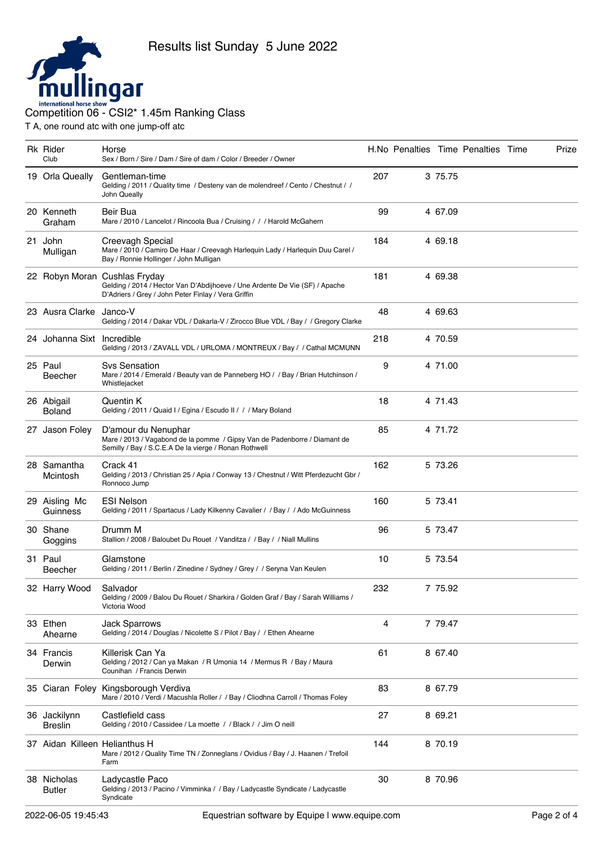

|    | Rk Rider<br>Club               | Horse<br>Sex / Born / Sire / Dam / Sire of dam / Color / Breeder / Owner                                                                                            |     |         | H.No Penalties Time Penalties Time | Prize |
|----|--------------------------------|---------------------------------------------------------------------------------------------------------------------------------------------------------------------|-----|---------|------------------------------------|-------|
|    | 19 Orla Queally                | Gentleman-time<br>Gelding / 2011 / Quality time / Desteny van de molendreef / Cento / Chestnut / /<br>John Queally                                                  | 207 | 3 75.75 |                                    |       |
|    | 20 Kenneth<br>Graham           | Beir Bua<br>Mare / 2010 / Lancelot / Rincoola Bua / Cruising / / / Harold McGahern                                                                                  | 99  | 4 67.09 |                                    |       |
| 21 | John<br>Mulligan               | Creevagh Special<br>Mare / 2010 / Camiro De Haar / Creevagh Harlequin Lady / Harlequin Duu Carel /<br>Bay / Ronnie Hollinger / John Mulligan                        | 184 | 4 69.18 |                                    |       |
|    |                                | 22 Robyn Moran Cushlas Fryday<br>Gelding / 2014 / Hector Van D'Abdijhoeve / Une Ardente De Vie (SF) / Apache<br>D'Adriers / Grey / John Peter Finlay / Vera Griffin | 181 | 4 69.38 |                                    |       |
|    | 23 Ausra Clarke Janco-V        | Gelding / 2014 / Dakar VDL / Dakarla-V / Zirocco Blue VDL / Bay / / Gregory Clarke                                                                                  | 48  | 4 69.63 |                                    |       |
|    | 24 Johanna Sixt Incredible     | Gelding / 2013 / ZAVALL VDL / URLOMA / MONTREUX / Bay / / Cathal MCMUNN                                                                                             | 218 | 4 70.59 |                                    |       |
|    | 25 Paul<br>Beecher             | Sys Sensation<br>Mare / 2014 / Emerald / Beauty van de Panneberg HO / / Bay / Brian Hutchinson /<br>Whistlejacket                                                   | 9   | 4 71.00 |                                    |       |
|    | 26 Abigail<br><b>Boland</b>    | Quentin K<br>Gelding / 2011 / Quaid I / Egina / Escudo II / / / Mary Boland                                                                                         | 18  | 4 71.43 |                                    |       |
|    | 27 Jason Foley                 | D'amour du Nenuphar<br>Mare / 2013 / Vagabond de la pomme / Gipsy Van de Padenborre / Diamant de<br>Semilly / Bay / S.C.E.A De la vierge / Ronan Rothwell           | 85  | 4 71.72 |                                    |       |
|    | 28 Samantha<br>Mcintosh        | Crack 41<br>Gelding / 2013 / Christian 25 / Apia / Conway 13 / Chestnut / Witt Pferdezucht Gbr /<br>Ronnoco Jump                                                    | 162 | 5 73.26 |                                    |       |
|    | 29 Aisling Mc<br>Guinness      | <b>ESI Nelson</b><br>Gelding / 2011 / Spartacus / Lady Kilkenny Cavalier / / Bay / / Ado McGuinness                                                                 | 160 | 5 73.41 |                                    |       |
|    | 30 Shane<br>Goggins            | Drumm M<br>Stallion / 2008 / Baloubet Du Rouet / Vanditza / / Bay / / Niall Mullins                                                                                 | 96  | 5 73.47 |                                    |       |
|    | 31 Paul<br>Beecher             | Glamstone<br>Gelding / 2011 / Berlin / Zinedine / Sydney / Grey / / Seryna Van Keulen                                                                               | 10  | 5 73.54 |                                    |       |
|    | 32 Harry Wood                  | Salvador<br>Gelding / 2009 / Balou Du Rouet / Sharkira / Golden Graf / Bay / Sarah Williams /<br>Victoria Wood                                                      | 232 | 7 75.92 |                                    |       |
|    | 33 Ethen<br>Ahearne            | <b>Jack Sparrows</b><br>Gelding / 2014 / Douglas / Nicolette S / Pilot / Bay / / Ethen Ahearne                                                                      | 4   | 7 79.47 |                                    |       |
|    | 34 Francis<br>Derwin           | Killerisk Can Ya<br>Gelding / 2012 / Can ya Makan / R Umonia 14 / Mermus R / Bay / Maura<br>Counihan / Francis Derwin                                               | 61  | 8 67.40 |                                    |       |
|    |                                | 35 Ciaran Foley Kingsborough Verdiva<br>Mare / 2010 / Verdi / Macushla Roller / / Bay / Cliodhna Carroll / Thomas Foley                                             | 83  | 8 67.79 |                                    |       |
|    | 36 Jackilynn<br><b>Breslin</b> | Castlefield cass<br>Gelding / 2010 / Cassidee / La moette / / Black / / Jim O neill                                                                                 | 27  | 8 69.21 |                                    |       |
|    | 37 Aidan Killeen Helianthus H  | Mare / 2012 / Quality Time TN / Zonneglans / Ovidius / Bay / J. Haanen / Trefoil<br>Farm                                                                            | 144 | 8 70.19 |                                    |       |
|    | 38 Nicholas<br><b>Butler</b>   | Ladycastle Paco<br>Gelding / 2013 / Pacino / Vimminka / / Bay / Ladycastle Syndicate / Ladycastle<br>Syndicate                                                      | 30  | 8 70.96 |                                    |       |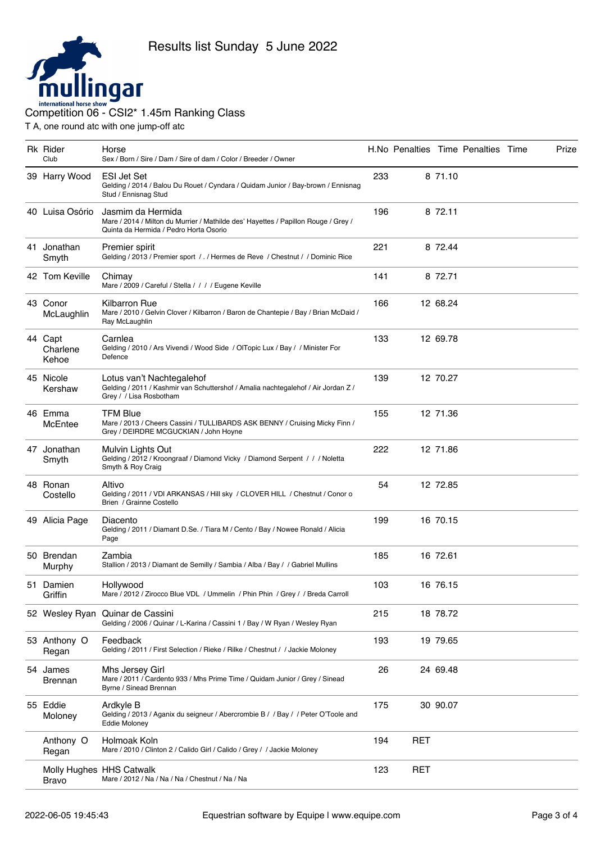

## INTERNATION COMPETITION COMPETITION COMPETITION OF - CSI2<sup>\*</sup> 1.45m Ranking Class

| <b>Rk</b> Rider<br>Club      | Horse<br>Sex / Born / Sire / Dam / Sire of dam / Color / Breeder / Owner                                                                          |     |            |          | H.No Penalties Time Penalties Time | Prize |
|------------------------------|---------------------------------------------------------------------------------------------------------------------------------------------------|-----|------------|----------|------------------------------------|-------|
| 39 Harry Wood                | <b>ESI Jet Set</b><br>Gelding / 2014 / Balou Du Rouet / Cyndara / Quidam Junior / Bay-brown / Ennisnag<br>Stud / Ennisnag Stud                    | 233 |            | 8 71.10  |                                    |       |
| 40 Luisa Osório              | Jasmim da Hermida<br>Mare / 2014 / Milton du Murrier / Mathilde des' Hayettes / Papillon Rouge / Grey /<br>Quinta da Hermida / Pedro Horta Osorio | 196 |            | 8 72.11  |                                    |       |
| 41 Jonathan<br>Smyth         | Premier spirit<br>Gelding / 2013 / Premier sport / . / Hermes de Reve / Chestnut / / Dominic Rice                                                 | 221 |            | 8 72.44  |                                    |       |
| 42 Tom Keville               | Chimay<br>Mare / 2009 / Careful / Stella / / / / Eugene Keville                                                                                   | 141 |            | 8 72.71  |                                    |       |
| 43 Conor<br>McLaughlin       | Kilbarron Rue<br>Mare / 2010 / Gelvin Clover / Kilbarron / Baron de Chantepie / Bay / Brian McDaid /<br>Ray McLaughlin                            | 166 |            | 12 68.24 |                                    |       |
| 44 Capt<br>Charlene<br>Kehoe | Carnlea<br>Gelding / 2010 / Ars Vivendi / Wood Side / OlTopic Lux / Bay / / Minister For<br>Defence                                               | 133 |            | 12 69.78 |                                    |       |
| 45 Nicole<br>Kershaw         | Lotus van't Nachtegalehof<br>Gelding / 2011 / Kashmir van Schuttershof / Amalia nachtegalehof / Air Jordan Z /<br>Grey / / Lisa Rosbotham         | 139 |            | 12 70.27 |                                    |       |
| 46 Emma<br>McEntee           | <b>TFM Blue</b><br>Mare / 2013 / Cheers Cassini / TULLIBARDS ASK BENNY / Cruising Micky Finn /<br>Grey / DEIRDRE MCGUCKIAN / John Hoyne           | 155 |            | 12 71.36 |                                    |       |
| 47 Jonathan<br>Smyth         | Mulvin Lights Out<br>Gelding / 2012 / Kroongraaf / Diamond Vicky / Diamond Serpent / / / Noletta<br>Smyth & Roy Craig                             | 222 |            | 12 71.86 |                                    |       |
| 48 Ronan<br>Costello         | Altivo<br>Gelding / 2011 / VDI ARKANSAS / Hill sky / CLOVER HILL / Chestnut / Conor o<br>Brien / Grainne Costello                                 | 54  |            | 12 72.85 |                                    |       |
| 49 Alicia Page               | Diacento<br>Gelding / 2011 / Diamant D.Se. / Tiara M / Cento / Bay / Nowee Ronald / Alicia<br>Page                                                | 199 |            | 16 70.15 |                                    |       |
| 50 Brendan<br>Murphy         | Zambia<br>Stallion / 2013 / Diamant de Semilly / Sambia / Alba / Bay / / Gabriel Mullins                                                          | 185 |            | 16 72.61 |                                    |       |
| 51 Damien<br>Griffin         | Hollywood<br>Mare / 2012 / Zirocco Blue VDL / Ummelin / Phin Phin / Grey / / Breda Carroll                                                        | 103 |            | 16 76.15 |                                    |       |
| 52 Wesley Ryan               | Quinar de Cassini<br>Gelding / 2006 / Quinar / L-Karina / Cassini 1 / Bay / W Ryan / Wesley Ryan                                                  | 215 |            | 18 78.72 |                                    |       |
| 53 Anthony O<br>Regan        | Feedback<br>Gelding / 2011 / First Selection / Rieke / Rilke / Chestnut / / Jackie Moloney                                                        | 193 |            | 19 79.65 |                                    |       |
| 54 James<br>Brennan          | Mhs Jersey Girl<br>Mare / 2011 / Cardento 933 / Mhs Prime Time / Quidam Junior / Grey / Sinead<br>Byrne / Sinead Brennan                          | 26  |            | 24 69.48 |                                    |       |
| 55 Eddie<br>Moloney          | Ardkyle B<br>Gelding / 2013 / Aganix du seigneur / Abercrombie B / / Bay / / Peter O'Toole and<br><b>Eddie Moloney</b>                            | 175 |            | 30 90.07 |                                    |       |
| Anthony O<br>Regan           | Holmoak Koln<br>Mare / 2010 / Clinton 2 / Calido Girl / Calido / Grey / / Jackie Moloney                                                          | 194 | RET        |          |                                    |       |
| Bravo                        | Molly Hughes HHS Catwalk<br>Mare / 2012 / Na / Na / Na / Chestnut / Na / Na                                                                       | 123 | <b>RET</b> |          |                                    |       |